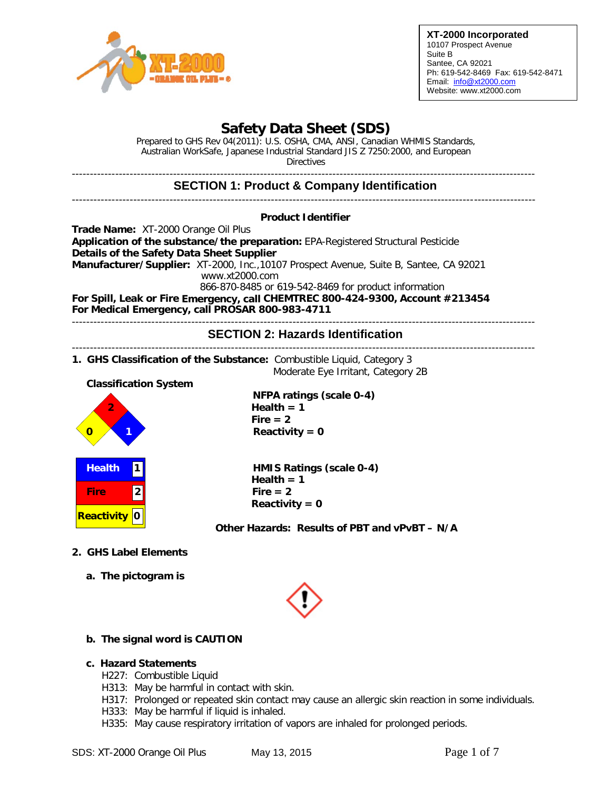

**XT-2000 Incorporated** 10107 Prospect Avenue Suite B Santee, CA 92021 Ph: 619-542-8469 Fax: 619-542-8471 Email: [info@xt2000.com](mailto:info@xt2000.com) Website: www.xt2000.com

# **Safety Data Sheet (SDS)**

Prepared to GHS Rev 04(2011): U.S. OSHA, CMA, ANSI, Canadian WHMIS Standards, Australian WorkSafe, Japanese Industrial Standard JIS Z 7250:2000, and European **Directives** 

-------------------------------------------------------------------------------------------------------------------------------- **SECTION 1: Product & Company Identification** -------------------------------------------------------------------------------------------------------------------------------- **Product Identifier Trade Name:** XT-2000 Orange Oil Plus **Application of the substance/the preparation:** EPA-Registered Structural Pesticide **Details of the Safety Data Sheet Supplier Manufacturer/Supplier:** XT-2000, Inc.,10107 Prospect Avenue, Suite B, Santee, CA 92021 [www.xt2000.com](http://www.xt2000.com/) 866-870-8485 or 619-542-8469 for product information **For Spill, Leak or Fire Emergency, call CHEMTREC 800-424-9300, Account #213454 For Medical Emergency, call PROSAR 800-983-4711** -------------------------------------------------------------------------------------------------------------------------------- **SECTION 2: Hazards Identification** -------------------------------------------------------------------------------------------------------------------------------- **1. GHS Classification of the Substance:** Combustible Liquid, Category 3

Moderate Eye Irritant, Category 2B

 **Classification System**

| 2                 |                |
|-------------------|----------------|
| <b>Health</b>     |                |
| <b>Fire</b>       | $\overline{2}$ |
| <b>Reactivity</b> | 0              |

 **NFPA ratings (scale 0-4) 2 Health = 1 Fire = 2**  $Reactivity = 0$ 

**HMIS Ratings (scale 0-4)**  $Health = 1$  $Fire = 2$ **Reactivity = 0**

**Other Hazards: Results of PBT and vPvBT – N/A**

- **2. GHS Label Elements**
	- **a. The pictogram is**



## **b. The signal word is CAUTION**

## **c. Hazard Statements**

- H227: Combustible Liquid
- H313: May be harmful in contact with skin.
- H317: Prolonged or repeated skin contact may cause an allergic skin reaction in some individuals.
- H333: May be harmful if liquid is inhaled.
- H335: May cause respiratory irritation of vapors are inhaled for prolonged periods.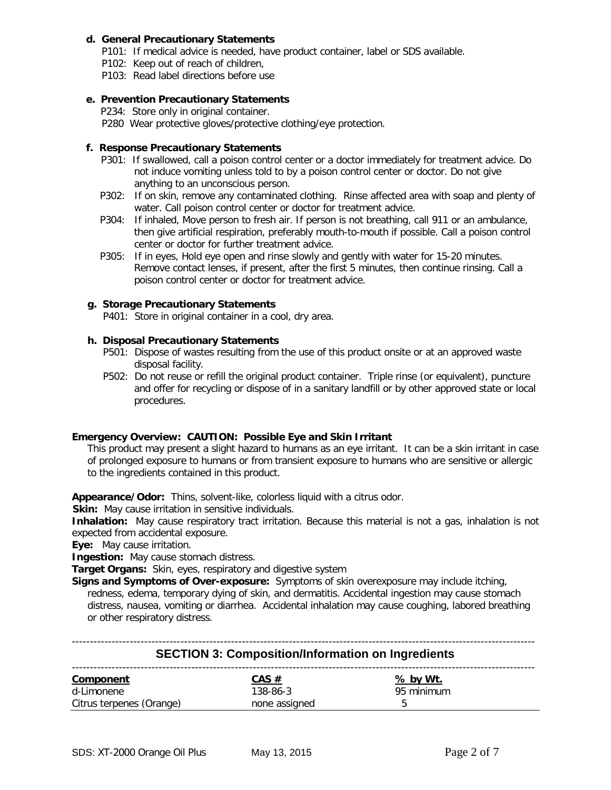#### **d. General Precautionary Statements**

- P101: If medical advice is needed, have product container, label or SDS available.
- P102: Keep out of reach of children,
- P103: Read label directions before use

#### **e. Prevention Precautionary Statements**

P234: Store only in original container.

P280 Wear protective gloves/protective clothing/eye protection.

#### **f. Response Precautionary Statements**

- P301: If swallowed, call a poison control center or a doctor immediately for treatment advice. Do not induce vomiting unless told to by a poison control center or doctor. Do not give anything to an unconscious person.
- P302: If on skin, remove any contaminated clothing. Rinse affected area with soap and plenty of water. Call poison control center or doctor for treatment advice.
- P304: If inhaled, Move person to fresh air. If person is not breathing, call 911 or an ambulance, then give artificial respiration, preferably mouth-to-mouth if possible. Call a poison control center or doctor for further treatment advice.
- P305: If in eyes, Hold eye open and rinse slowly and gently with water for 15-20 minutes. Remove contact lenses, if present, after the first 5 minutes, then continue rinsing. Call a poison control center or doctor for treatment advice.

### **g. Storage Precautionary Statements**

P401: Store in original container in a cool, dry area.

### **h. Disposal Precautionary Statements**

- P501: Dispose of wastes resulting from the use of this product onsite or at an approved waste disposal facility.
- P502: Do not reuse or refill the original product container. Triple rinse (or equivalent), puncture and offer for recycling or dispose of in a sanitary landfill or by other approved state or local procedures.

#### **Emergency Overview: CAUTION: Possible Eye and Skin Irritant**

 This product may present a slight hazard to humans as an eye irritant. It can be a skin irritant in case of prolonged exposure to humans or from transient exposure to humans who are sensitive or allergic to the ingredients contained in this product.

**Appearance/Odor:** Thins, solvent-like, colorless liquid with a citrus odor.

**Skin:** May cause irritation in sensitive individuals.

**Inhalation:** May cause respiratory tract irritation. Because this material is not a gas, inhalation is not expected from accidental exposure.

**Eye:** May cause irritation.

**Ingestion:** May cause stomach distress.

**Target Organs:** Skin, eyes, respiratory and digestive system

**Signs and Symptoms of Over-exposure:** Symptoms of skin overexposure may include itching, redness, edema, temporary dying of skin, and dermatitis. Accidental ingestion may cause stomach distress, nausea, vomiting or diarrhea. Accidental inhalation may cause coughing, labored breathing or other respiratory distress.

| <b>SECTION 3: Composition/Information on Ingredients</b> |               |                 |  |  |  |  |
|----------------------------------------------------------|---------------|-----------------|--|--|--|--|
| <b>Component</b>                                         | $CAS \#$      | <u>% by Wt.</u> |  |  |  |  |
| d-Limonene                                               | 138-86-3      | 95 minimum      |  |  |  |  |
| Citrus terpenes (Orange)                                 | none assigned |                 |  |  |  |  |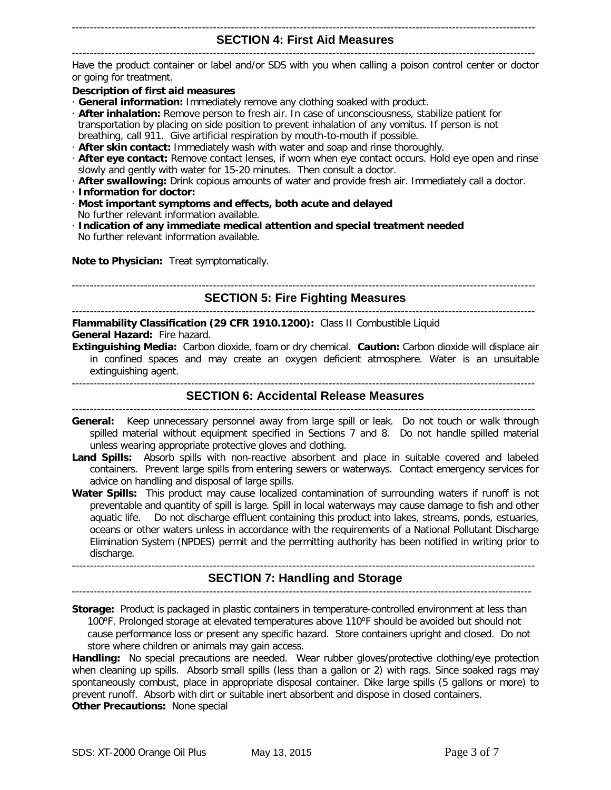#### -------------------------------------------------------------------------------------------------------------------------------- **SECTION 4: First Aid Measures**

--------------------------------------------------------------------------------------------------------------------------------

Have the product container or label and/or SDS with you when calling a poison control center or doctor or going for treatment.

#### **Description of first aid measures**

- · **General information:** Immediately remove any clothing soaked with product.
- · **After inhalation:** Remove person to fresh air. In case of unconsciousness, stabilize patient for transportation by placing on side position to prevent inhalation of any vomitus. If person is not breathing, call 911. Give artificial respiration by mouth-to-mouth if possible.
- · **After skin contact:** Immediately wash with water and soap and rinse thoroughly.
- · **After eye contact:** Remove contact lenses, if worn when eye contact occurs. Hold eye open and rinse slowly and gently with water for 15-20 minutes. Then consult a doctor.
- · **After swallowing:** Drink copious amounts of water and provide fresh air. Immediately call a doctor.
- · **Information for doctor:**
- · **Most important symptoms and effects, both acute and delayed** No further relevant information available.
- · **Indication of any immediate medical attention and special treatment needed** No further relevant information available.

**Note to Physician:** Treat symptomatically.

--------------------------------------------------------------------------------------------------------------------------------

#### **SECTION 5: Fire Fighting Measures** --------------------------------------------------------------------------------------------------------------------------------

**Flammability Classification (29 CFR 1910.1200):** Class II Combustible Liquid **General Hazard:** Fire hazard.

**Extinguishing Media:** Carbon dioxide, foam or dry chemical. **Caution:** Carbon dioxide will displace air in confined spaces and may create an oxygen deficient atmosphere. Water is an unsuitable extinguishing agent.

#### **SECTION 6: Accidental Release Measures** --------------------------------------------------------------------------------------------------------------------------------

- **General:** Keep unnecessary personnel away from large spill or leak. Do not touch or walk through spilled material without equipment specified in Sections 7 and 8. Do not handle spilled material unless wearing appropriate protective gloves and clothing.
- **Land Spills:** Absorb spills with non-reactive absorbent and place in suitable covered and labeled containers. Prevent large spills from entering sewers or waterways. Contact emergency services for advice on handling and disposal of large spills.
- **Water Spills:** This product may cause localized contamination of surrounding waters if runoff is not preventable and quantity of spill is large. Spill in local waterways may cause damage to fish and other aquatic life. Do not discharge effluent containing this product into lakes, streams, ponds, estuaries, oceans or other waters unless in accordance with the requirements of a National Pollutant Discharge Elimination System (NPDES) permit and the permitting authority has been notified in writing prior to discharge.

#### -------------------------------------------------------------------------------------------------------------------------------- **SECTION 7: Handling and Storage**

-------------------------------------------------------------------------------------------------------------------------------

**Storage:** Product is packaged in plastic containers in temperature-controlled environment at less than 100°F. Prolonged storage at elevated temperatures above 110°F should be avoided but should not cause performance loss or present any specific hazard. Store containers upright and closed. Do not store where children or animals may gain access.

**Handling:** No special precautions are needed. Wear rubber gloves/protective clothing/eye protection when cleaning up spills. Absorb small spills (less than a gallon or 2) with rags. Since soaked rags may spontaneously combust, place in appropriate disposal container. Dike large spills (5 gallons or more) to prevent runoff. Absorb with dirt or suitable inert absorbent and dispose in closed containers. **Other Precautions:** None special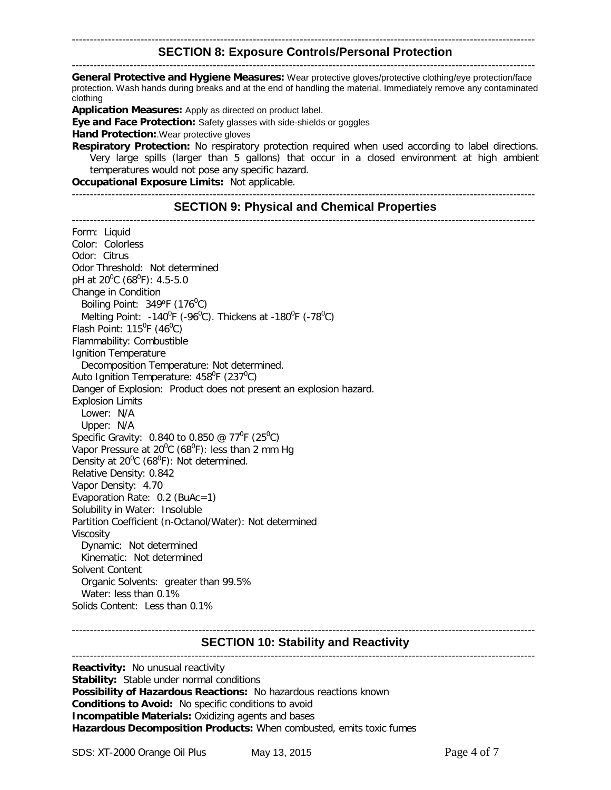#### -------------------------------------------------------------------------------------------------------------------------------- **SECTION 8: Exposure Controls/Personal Protection**

-------------------------------------------------------------------------------------------------------------------------------- **General Protective and Hygiene Measures:** Wear protective gloves/protective clothing/eye protection/face protection. Wash hands during breaks and at the end of handling the material. Immediately remove any contaminated clothing

**Application Measures:** Apply as directed on product label.

**Eye and Face Protection:** Safety glasses with side-shields or goggles

**Hand Protection:**.Wear protective gloves

**Respiratory Protection:** No respiratory protection required when used according to label directions. Very large spills (larger than 5 gallons) that occur in a closed environment at high ambient temperatures would not pose any specific hazard.

**Occupational Exposure Limits:** Not applicable.

--------------------------------------------------------------------------------------------------------------------------------

#### **SECTION 9: Physical and Chemical Properties**

-------------------------------------------------------------------------------------------------------------------------------- Form: Liquid Color: Colorless Odor: Citrus Odor Threshold: Not determined pH at 20<sup>0</sup>C (68<sup>0</sup>F): 4.5-5.0 Change in Condition Boiling Point:  $349^{\circ}F(176^{\circ}C)$ Melting Point: -140<sup>0</sup>F (-96<sup>0</sup>C). Thickens at -180<sup>0</sup>F (-78<sup>0</sup>C) Flash Point:  $115^{\circ}F(46^{\circ}C)$ Flammability: Combustible Ignition Temperature Decomposition Temperature: Not determined. Auto Ignition Temperature: 458<sup>0</sup>F (237<sup>0</sup>C) Danger of Explosion: Product does not present an explosion hazard. Explosion Limits Lower: N/A Upper: N/A Specific Gravity: 0.840 to 0.850 @ 77<sup>°</sup>F (25<sup>°</sup>C) Vapor Pressure at 20 $\mathrm{^{0}C}$  (68 $\mathrm{^{0}F}$ ): less than 2 mm Hg Density at  $20^0C$  (68<sup>0</sup>F): Not determined. Relative Density: 0.842 Vapor Density: 4.70 Evaporation Rate: 0.2 (BuAc=1) Solubility in Water: Insoluble Partition Coefficient (n-Octanol/Water): Not determined Viscosity Dynamic: Not determined Kinematic: Not determined Solvent Content Organic Solvents: greater than 99.5% Water: less than 0.1% Solids Content: Less than 0.1%

#### -------------------------------------------------------------------------------------------------------------------------------- **SECTION 10: Stability and Reactivity** --------------------------------------------------------------------------------------------------------------------------------

**Reactivity:** No unusual reactivity **Stability:** Stable under normal conditions **Possibility of Hazardous Reactions:** No hazardous reactions known **Conditions to Avoid:** No specific conditions to avoid **Incompatible Materials:** Oxidizing agents and bases **Hazardous Decomposition Products:** When combusted, emits toxic fumes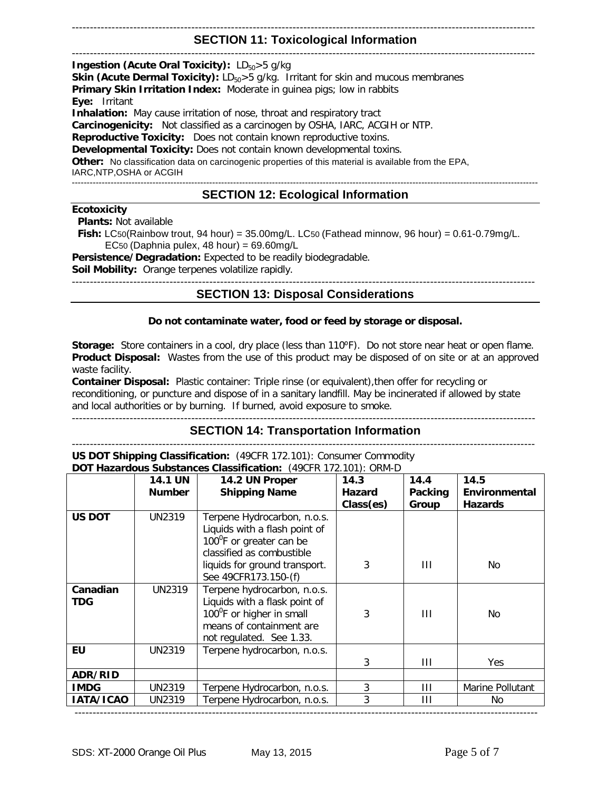### -------------------------------------------------------------------------------------------------------------------------------- **SECTION 11: Toxicological Information**

#### -------------------------------------------------------------------------------------------------------------------------------- **Ingestion (Acute Oral Toxicity):** LD<sub>50</sub>>5 g/kg **Skin (Acute Dermal Toxicity):** LD<sub>50</sub>>5 g/kg. Irritant for skin and mucous membranes **Primary Skin Irritation Index:** Moderate in guinea pigs; low in rabbits **Eye:** Irritant **Inhalation:** May cause irritation of nose, throat and respiratory tract **Carcinogenicity:** Not classified as a carcinogen by OSHA, IARC, ACGIH or NTP. **Reproductive Toxicity:** Does not contain known reproductive toxins. **Developmental Toxicity:** Does not contain known developmental toxins. **Other:** No classification data on carcinogenic properties of this material is available from the EPA, IARC,NTP,OSHA or ACGIH ------------------------------------------------------------------------------------------------------------------------------------------------------------ **SECTION 12: Ecological Information**

#### **Ecotoxicity**

 **Plants:** Not available

 **Fish:** LC50(Rainbow trout, 94 hour) = 35.00mg/L. LC50 (Fathead minnow, 96 hour) = 0.61-0.79mg/L. EC50 (Daphnia pulex,  $48$  hour) = 69.60mg/L

**Persistence/Degradation:** Expected to be readily biodegradable.

**Soil Mobility:** Orange terpenes volatilize rapidly.

-------------------------------------------------------------------------------------------------------------------------------- **SECTION 13: Disposal Considerations**

### **Do not contaminate water, food or feed by storage or disposal.**

Storage: Store containers in a cool, dry place (less than 110°F). Do not store near heat or open flame. **Product Disposal:** Wastes from the use of this product may be disposed of on site or at an approved waste facility.

**Container Disposal:** Plastic container: Triple rinse (or equivalent),then offer for recycling or reconditioning, or puncture and dispose of in a sanitary landfill. May be incinerated if allowed by state and local authorities or by burning. If burned, avoid exposure to smoke. --------------------------------------------------------------------------------------------------------------------------------

**SECTION 14: Transportation Information**

-------------------------------------------------------------------------------------------------------------------------------- **US DOT Shipping Classification:** (49CFR 172.101): Consumer Commodity **Cubstances Classification:** 

| DOT Hazardous Substances Classification: (49CFR 172.101): ORM-D |                |                                       |               |         |                  |  |  |
|-----------------------------------------------------------------|----------------|---------------------------------------|---------------|---------|------------------|--|--|
|                                                                 | <b>14.1 UN</b> | 14.2 UN Proper                        | 14.3          | 14.4    | 14.5             |  |  |
|                                                                 | <b>Number</b>  | <b>Shipping Name</b>                  | <b>Hazard</b> | Packing | Environmental    |  |  |
|                                                                 |                |                                       | Class(es)     | Group   | <b>Hazards</b>   |  |  |
| <b>US DOT</b>                                                   | UN2319         | Terpene Hydrocarbon, n.o.s.           |               |         |                  |  |  |
|                                                                 |                | Liquids with a flash point of         |               |         |                  |  |  |
|                                                                 |                | 100 <sup>°</sup> F or greater can be  |               |         |                  |  |  |
|                                                                 |                | classified as combustible             |               |         |                  |  |  |
|                                                                 |                | liquids for ground transport.         | 3             | Ш       | No.              |  |  |
|                                                                 |                | See 49CFR173.150-(f)                  |               |         |                  |  |  |
| Canadian                                                        | UN2319         | Terpene hydrocarbon, n.o.s.           |               |         |                  |  |  |
| <b>TDG</b>                                                      |                | Liquids with a flask point of         |               |         |                  |  |  |
|                                                                 |                | 100 <sup>°</sup> F or higher in small | 3             | Ш       | No.              |  |  |
|                                                                 |                | means of containment are              |               |         |                  |  |  |
|                                                                 |                | not regulated. See 1.33.              |               |         |                  |  |  |
| EU                                                              | UN2319         | Terpene hydrocarbon, n.o.s.           |               |         |                  |  |  |
|                                                                 |                |                                       | 3             | Ш       | Yes              |  |  |
| ADR/RID                                                         |                |                                       |               |         |                  |  |  |
| <b>IMDG</b>                                                     | UN2319         | Terpene Hydrocarbon, n.o.s.           | 3             | Ш       | Marine Pollutant |  |  |
| IATA/ICAO                                                       | UN2319         | Terpene Hydrocarbon, n.o.s.           | 3             | Ш       | No.              |  |  |
|                                                                 |                |                                       |               |         |                  |  |  |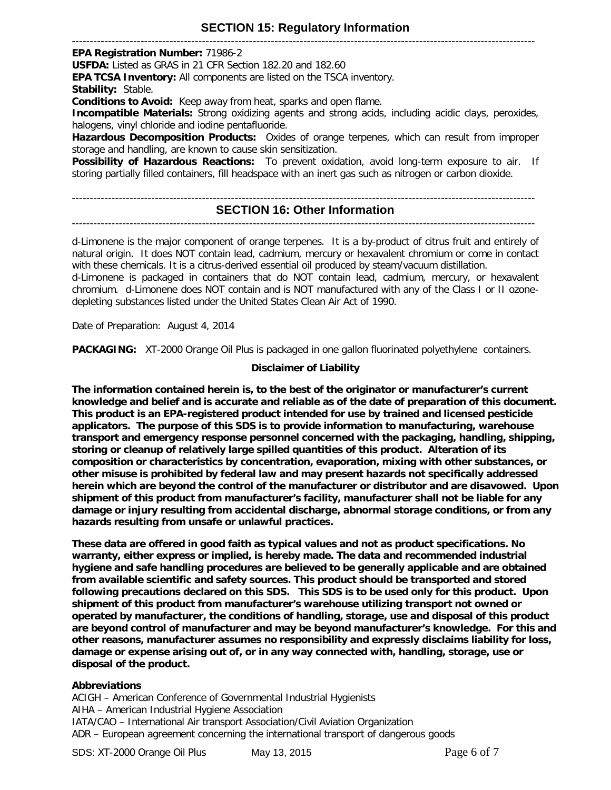# **SECTION 15: Regulatory Information**

--------------------------------------------------------------------------------------------------------------------------------

**EPA Registration Number:** 71986-2

**USFDA:** Listed as GRAS in 21 CFR Section 182.20 and 182.60

**EPA TCSA Inventory:** All components are listed on the TSCA inventory.

**Stability:** Stable.

**Conditions to Avoid:** Keep away from heat, sparks and open flame.

**Incompatible Materials:** Strong oxidizing agents and strong acids, including acidic clays, peroxides, halogens, vinyl chloride and iodine pentafluoride.

**Hazardous Decomposition Products:** Oxides of orange terpenes, which can result from improper storage and handling, are known to cause skin sensitization.

**Possibility of Hazardous Reactions:** To prevent oxidation, avoid long-term exposure to air. If storing partially filled containers, fill headspace with an inert gas such as nitrogen or carbon dioxide.

# --------------------------------------------------------------------------------------------------------------------------------

# **SECTION 16: Other Information**

#### --------------------------------------------------------------------------------------------------------------------------------

d-Limonene is the major component of orange terpenes. It is a by-product of citrus fruit and entirely of natural origin. It does NOT contain lead, cadmium, mercury or hexavalent chromium or come in contact with these chemicals. It is a citrus-derived essential oil produced by steam/vacuum distillation. d-Limonene is packaged in containers that do NOT contain lead, cadmium, mercury, or hexavalent chromium. d-Limonene does NOT contain and is NOT manufactured with any of the Class I or II ozonedepleting substances listed under the United States Clean Air Act of 1990.

Date of Preparation: August 4, 2014

**PACKAGING:** XT-2000 Orange Oil Plus is packaged in one gallon fluorinated polyethylene containers.

## **Disclaimer of Liability**

**The information contained herein is, to the best of the originator or manufacturer's current knowledge and belief and is accurate and reliable as of the date of preparation of this document. This product is an EPA-registered product intended for use by trained and licensed pesticide applicators. The purpose of this SDS is to provide information to manufacturing, warehouse transport and emergency response personnel concerned with the packaging, handling, shipping, storing or cleanup of relatively large spilled quantities of this product. Alteration of its composition or characteristics by concentration, evaporation, mixing with other substances, or other misuse is prohibited by federal law and may present hazards not specifically addressed herein which are beyond the control of the manufacturer or distributor and are disavowed. Upon shipment of this product from manufacturer's facility, manufacturer shall not be liable for any damage or injury resulting from accidental discharge, abnormal storage conditions, or from any hazards resulting from unsafe or unlawful practices.**

**These data are offered in good faith as typical values and not as product specifications. No warranty, either express or implied, is hereby made. The data and recommended industrial hygiene and safe handling procedures are believed to be generally applicable and are obtained from available scientific and safety sources. This product should be transported and stored following precautions declared on this SDS. This SDS is to be used only for this product. Upon shipment of this product from manufacturer's warehouse utilizing transport not owned or operated by manufacturer, the conditions of handling, storage, use and disposal of this product are beyond control of manufacturer and may be beyond manufacturer's knowledge. For this and other reasons, manufacturer assumes no responsibility and expressly disclaims liability for loss, damage or expense arising out of, or in any way connected with, handling, storage, use or disposal of the product.**

#### **Abbreviations**

ACIGH – American Conference of Governmental Industrial Hygienists AIHA – American Industrial Hygiene Association IATA/CAO – International Air transport Association/Civil Aviation Organization ADR – European agreement concerning the international transport of dangerous goods